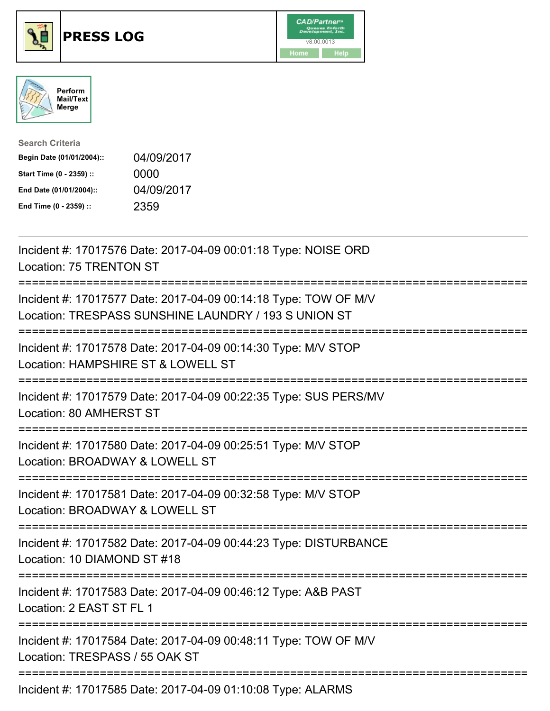





| <b>Search Criteria</b>    |            |
|---------------------------|------------|
| Begin Date (01/01/2004):: | 04/09/2017 |
| Start Time (0 - 2359) ::  | 0000       |
| End Date (01/01/2004)::   | 04/09/2017 |
| End Time (0 - 2359) ::    | 2359       |

| Incident #: 17017576 Date: 2017-04-09 00:01:18 Type: NOISE ORD<br>Location: 75 TRENTON ST                                                   |
|---------------------------------------------------------------------------------------------------------------------------------------------|
| Incident #: 17017577 Date: 2017-04-09 00:14:18 Type: TOW OF M/V<br>Location: TRESPASS SUNSHINE LAUNDRY / 193 S UNION ST                     |
| Incident #: 17017578 Date: 2017-04-09 00:14:30 Type: M/V STOP<br>Location: HAMPSHIRE ST & LOWELL ST                                         |
| Incident #: 17017579 Date: 2017-04-09 00:22:35 Type: SUS PERS/MV<br>Location: 80 AMHERST ST                                                 |
| Incident #: 17017580 Date: 2017-04-09 00:25:51 Type: M/V STOP<br>Location: BROADWAY & LOWELL ST                                             |
| Incident #: 17017581 Date: 2017-04-09 00:32:58 Type: M/V STOP<br>Location: BROADWAY & LOWELL ST<br>============<br>:======================= |
| Incident #: 17017582 Date: 2017-04-09 00:44:23 Type: DISTURBANCE<br>Location: 10 DIAMOND ST #18                                             |
| Incident #: 17017583 Date: 2017-04-09 00:46:12 Type: A&B PAST<br>Location: 2 EAST ST FL 1                                                   |
| Incident #: 17017584 Date: 2017-04-09 00:48:11 Type: TOW OF M/V<br>Location: TRESPASS / 55 OAK ST                                           |
| Incident #: 17017585 Date: 2017-04-09 01:10:08 Type: ALARMS                                                                                 |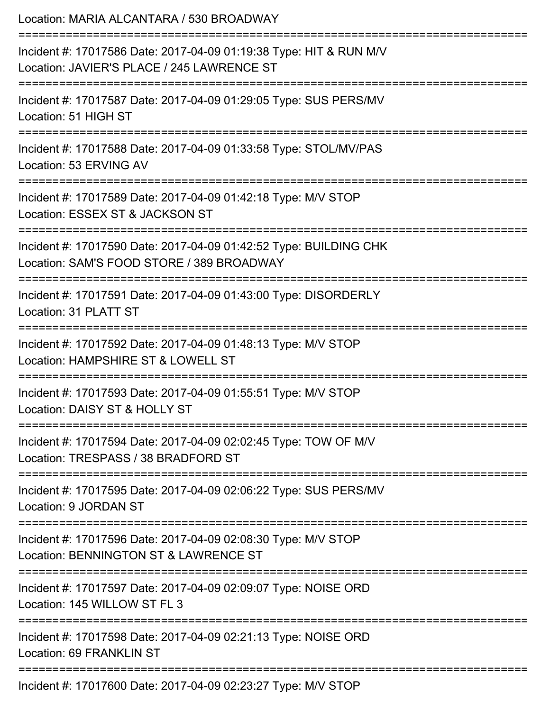| Location: MARIA ALCANTARA / 530 BROADWAY                                                                                                                |
|---------------------------------------------------------------------------------------------------------------------------------------------------------|
| Incident #: 17017586 Date: 2017-04-09 01:19:38 Type: HIT & RUN M/V<br>Location: JAVIER'S PLACE / 245 LAWRENCE ST<br>--------------------------          |
| Incident #: 17017587 Date: 2017-04-09 01:29:05 Type: SUS PERS/MV<br>Location: 51 HIGH ST                                                                |
| Incident #: 17017588 Date: 2017-04-09 01:33:58 Type: STOL/MV/PAS<br>Location: 53 ERVING AV                                                              |
| Incident #: 17017589 Date: 2017-04-09 01:42:18 Type: M/V STOP<br>Location: ESSEX ST & JACKSON ST                                                        |
| Incident #: 17017590 Date: 2017-04-09 01:42:52 Type: BUILDING CHK<br>Location: SAM'S FOOD STORE / 389 BROADWAY<br>===================================== |
| :================================<br>Incident #: 17017591 Date: 2017-04-09 01:43:00 Type: DISORDERLY<br>Location: 31 PLATT ST                           |
| ----------------------<br>Incident #: 17017592 Date: 2017-04-09 01:48:13 Type: M/V STOP<br>Location: HAMPSHIRE ST & LOWELL ST                           |
| Incident #: 17017593 Date: 2017-04-09 01:55:51 Type: M/V STOP<br>Location: DAISY ST & HOLLY ST                                                          |
| Incident #: 17017594 Date: 2017-04-09 02:02:45 Type: TOW OF M/V<br>Location: TRESPASS / 38 BRADFORD ST                                                  |
| Incident #: 17017595 Date: 2017-04-09 02:06:22 Type: SUS PERS/MV<br>Location: 9 JORDAN ST                                                               |
| Incident #: 17017596 Date: 2017-04-09 02:08:30 Type: M/V STOP<br>Location: BENNINGTON ST & LAWRENCE ST                                                  |
| Incident #: 17017597 Date: 2017-04-09 02:09:07 Type: NOISE ORD<br>Location: 145 WILLOW ST FL 3                                                          |
| Incident #: 17017598 Date: 2017-04-09 02:21:13 Type: NOISE ORD<br>Location: 69 FRANKLIN ST                                                              |
| ---------------<br>Incident #: 17017600 Date: 2017-04-09 02:23:27 Type: M/V STOP                                                                        |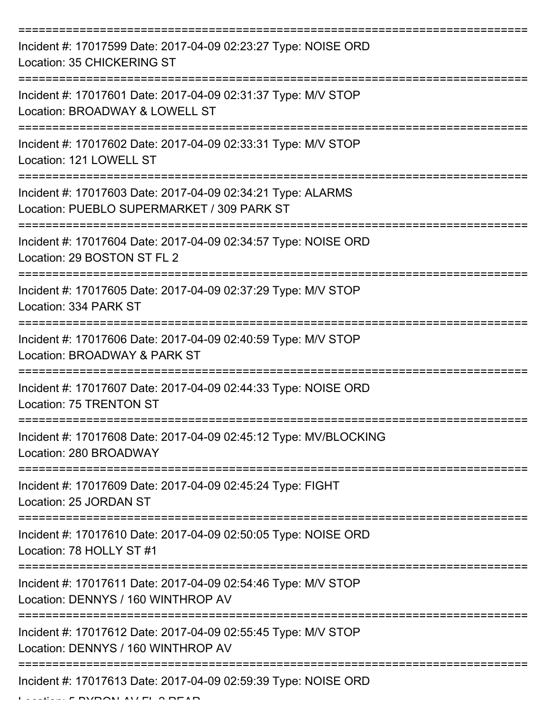| Incident #: 17017599 Date: 2017-04-09 02:23:27 Type: NOISE ORD<br>Location: 35 CHICKERING ST                   |
|----------------------------------------------------------------------------------------------------------------|
| Incident #: 17017601 Date: 2017-04-09 02:31:37 Type: M/V STOP<br>Location: BROADWAY & LOWELL ST                |
| Incident #: 17017602 Date: 2017-04-09 02:33:31 Type: M/V STOP<br>Location: 121 LOWELL ST                       |
| Incident #: 17017603 Date: 2017-04-09 02:34:21 Type: ALARMS<br>Location: PUEBLO SUPERMARKET / 309 PARK ST      |
| Incident #: 17017604 Date: 2017-04-09 02:34:57 Type: NOISE ORD<br>Location: 29 BOSTON ST FL 2<br>============= |
| Incident #: 17017605 Date: 2017-04-09 02:37:29 Type: M/V STOP<br>Location: 334 PARK ST                         |
| Incident #: 17017606 Date: 2017-04-09 02:40:59 Type: M/V STOP<br>Location: BROADWAY & PARK ST                  |
| Incident #: 17017607 Date: 2017-04-09 02:44:33 Type: NOISE ORD<br>Location: 75 TRENTON ST                      |
| Incident #: 17017608 Date: 2017-04-09 02:45:12 Type: MV/BLOCKING<br>Location: 280 BROADWAY                     |
| Incident #: 17017609 Date: 2017-04-09 02:45:24 Type: FIGHT<br>Location: 25 JORDAN ST                           |
| Incident #: 17017610 Date: 2017-04-09 02:50:05 Type: NOISE ORD<br>Location: 78 HOLLY ST #1                     |
| Incident #: 17017611 Date: 2017-04-09 02:54:46 Type: M/V STOP<br>Location: DENNYS / 160 WINTHROP AV            |
| Incident #: 17017612 Date: 2017-04-09 02:55:45 Type: M/V STOP<br>Location: DENNYS / 160 WINTHROP AV            |
| Incident #: 17017613 Date: 2017-04-09 02:59:39 Type: NOISE ORD                                                 |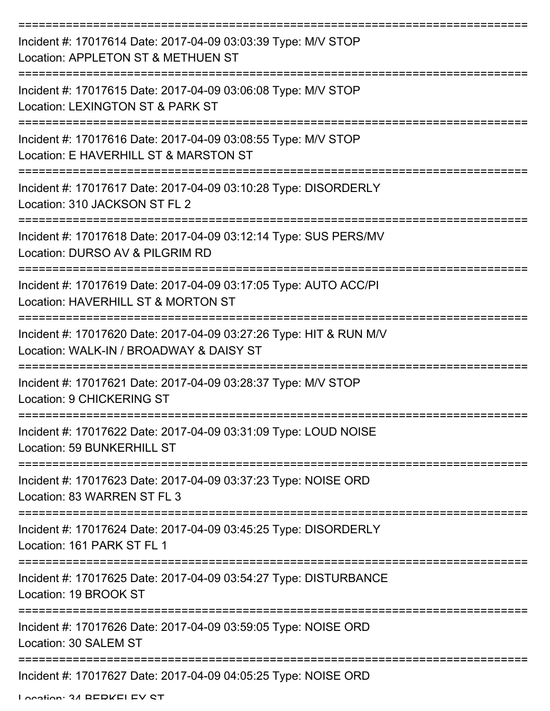| Incident #: 17017614 Date: 2017-04-09 03:03:39 Type: M/V STOP<br>Location: APPLETON ST & METHUEN ST           |
|---------------------------------------------------------------------------------------------------------------|
| Incident #: 17017615 Date: 2017-04-09 03:06:08 Type: M/V STOP<br>Location: LEXINGTON ST & PARK ST             |
| Incident #: 17017616 Date: 2017-04-09 03:08:55 Type: M/V STOP<br>Location: E HAVERHILL ST & MARSTON ST        |
| Incident #: 17017617 Date: 2017-04-09 03:10:28 Type: DISORDERLY<br>Location: 310 JACKSON ST FL 2              |
| Incident #: 17017618 Date: 2017-04-09 03:12:14 Type: SUS PERS/MV<br>Location: DURSO AV & PILGRIM RD           |
| Incident #: 17017619 Date: 2017-04-09 03:17:05 Type: AUTO ACC/PI<br>Location: HAVERHILL ST & MORTON ST        |
| Incident #: 17017620 Date: 2017-04-09 03:27:26 Type: HIT & RUN M/V<br>Location: WALK-IN / BROADWAY & DAISY ST |
| Incident #: 17017621 Date: 2017-04-09 03:28:37 Type: M/V STOP<br>Location: 9 CHICKERING ST                    |
| Incident #: 17017622 Date: 2017-04-09 03:31:09 Type: LOUD NOISE<br>Location: 59 BUNKERHILL ST                 |
| Incident #: 17017623 Date: 2017-04-09 03:37:23 Type: NOISE ORD<br>Location: 83 WARREN ST FL 3                 |
| Incident #: 17017624 Date: 2017-04-09 03:45:25 Type: DISORDERLY<br>Location: 161 PARK ST FL 1                 |
| Incident #: 17017625 Date: 2017-04-09 03:54:27 Type: DISTURBANCE<br>Location: 19 BROOK ST                     |
| Incident #: 17017626 Date: 2017-04-09 03:59:05 Type: NOISE ORD<br>Location: 30 SALEM ST                       |
| Incident #: 17017627 Date: 2017-04-09 04:05:25 Type: NOISE ORD                                                |

Location: 34 BERKELEY ST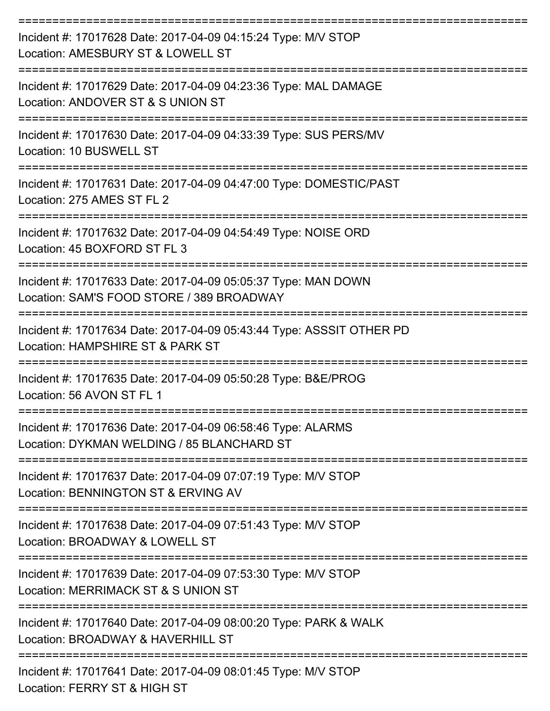| Incident #: 17017628 Date: 2017-04-09 04:15:24 Type: M/V STOP<br>Location: AMESBURY ST & LOWELL ST         |
|------------------------------------------------------------------------------------------------------------|
| Incident #: 17017629 Date: 2017-04-09 04:23:36 Type: MAL DAMAGE<br>Location: ANDOVER ST & S UNION ST       |
| Incident #: 17017630 Date: 2017-04-09 04:33:39 Type: SUS PERS/MV<br>Location: 10 BUSWELL ST                |
| Incident #: 17017631 Date: 2017-04-09 04:47:00 Type: DOMESTIC/PAST<br>Location: 275 AMES ST FL 2           |
| Incident #: 17017632 Date: 2017-04-09 04:54:49 Type: NOISE ORD<br>Location: 45 BOXFORD ST FL 3             |
| Incident #: 17017633 Date: 2017-04-09 05:05:37 Type: MAN DOWN<br>Location: SAM'S FOOD STORE / 389 BROADWAY |
| Incident #: 17017634 Date: 2017-04-09 05:43:44 Type: ASSSIT OTHER PD<br>Location: HAMPSHIRE ST & PARK ST   |
| Incident #: 17017635 Date: 2017-04-09 05:50:28 Type: B&E/PROG<br>Location: 56 AVON ST FL 1                 |
| Incident #: 17017636 Date: 2017-04-09 06:58:46 Type: ALARMS<br>Location: DYKMAN WELDING / 85 BLANCHARD ST  |
| Incident #: 17017637 Date: 2017-04-09 07:07:19 Type: M/V STOP<br>Location: BENNINGTON ST & ERVING AV       |
| Incident #: 17017638 Date: 2017-04-09 07:51:43 Type: M/V STOP<br>Location: BROADWAY & LOWELL ST            |
| Incident #: 17017639 Date: 2017-04-09 07:53:30 Type: M/V STOP<br>Location: MERRIMACK ST & S UNION ST       |
| Incident #: 17017640 Date: 2017-04-09 08:00:20 Type: PARK & WALK<br>Location: BROADWAY & HAVERHILL ST      |
| Incident #: 17017641 Date: 2017-04-09 08:01:45 Type: M/V STOP                                              |

Location: FERRY ST & HIGH ST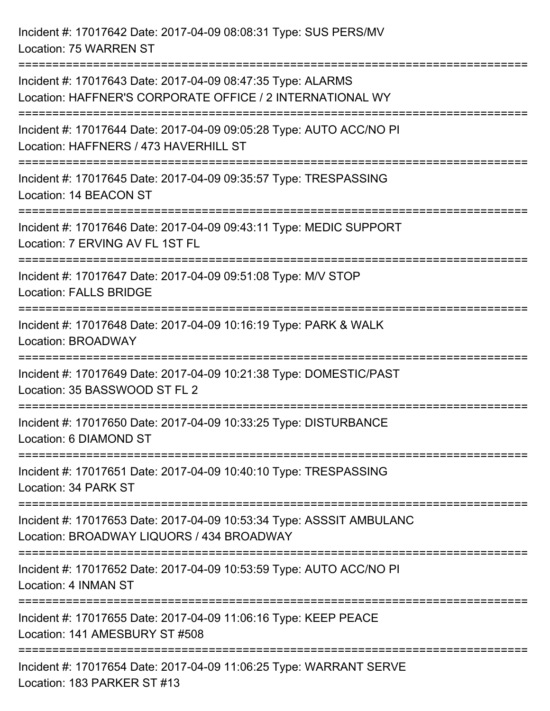Incident #: 17017642 Date: 2017-04-09 08:08:31 Type: SUS PERS/MV Location: 75 WARREN ST

| Incident #: 17017643 Date: 2017-04-09 08:47:35 Type: ALARMS<br>Location: HAFFNER'S CORPORATE OFFICE / 2 INTERNATIONAL WY |
|--------------------------------------------------------------------------------------------------------------------------|
| Incident #: 17017644 Date: 2017-04-09 09:05:28 Type: AUTO ACC/NO PI<br>Location: HAFFNERS / 473 HAVERHILL ST             |
| Incident #: 17017645 Date: 2017-04-09 09:35:57 Type: TRESPASSING<br>Location: 14 BEACON ST                               |
| Incident #: 17017646 Date: 2017-04-09 09:43:11 Type: MEDIC SUPPORT<br>Location: 7 ERVING AV FL 1ST FL                    |
| Incident #: 17017647 Date: 2017-04-09 09:51:08 Type: M/V STOP<br>Location: FALLS BRIDGE                                  |
| Incident #: 17017648 Date: 2017-04-09 10:16:19 Type: PARK & WALK<br>Location: BROADWAY                                   |
| Incident #: 17017649 Date: 2017-04-09 10:21:38 Type: DOMESTIC/PAST<br>Location: 35 BASSWOOD ST FL 2                      |
| Incident #: 17017650 Date: 2017-04-09 10:33:25 Type: DISTURBANCE<br>Location: 6 DIAMOND ST                               |
| Incident #: 17017651 Date: 2017-04-09 10:40:10 Type: TRESPASSING<br>Location: 34 PARK ST                                 |
| Incident #: 17017653 Date: 2017-04-09 10:53:34 Type: ASSSIT AMBULANC<br>Location: BROADWAY LIQUORS / 434 BROADWAY        |
| Incident #: 17017652 Date: 2017-04-09 10:53:59 Type: AUTO ACC/NO PI<br>Location: 4 INMAN ST                              |
| Incident #: 17017655 Date: 2017-04-09 11:06:16 Type: KEEP PEACE<br>Location: 141 AMESBURY ST #508                        |
| Incident #: 17017654 Date: 2017-04-09 11:06:25 Type: WARRANT SERVE<br>Location: 183 PARKER ST #13                        |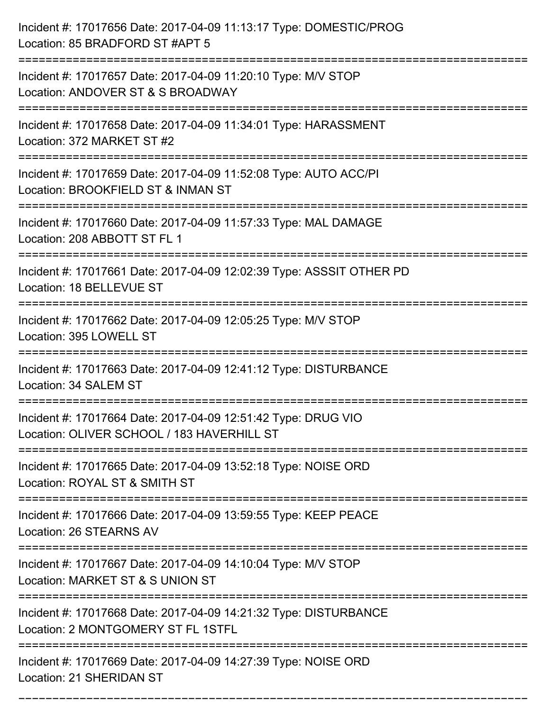| Incident #: 17017656 Date: 2017-04-09 11:13:17 Type: DOMESTIC/PROG<br>Location: 85 BRADFORD ST #APT 5       |
|-------------------------------------------------------------------------------------------------------------|
| Incident #: 17017657 Date: 2017-04-09 11:20:10 Type: M/V STOP<br>Location: ANDOVER ST & S BROADWAY          |
| Incident #: 17017658 Date: 2017-04-09 11:34:01 Type: HARASSMENT<br>Location: 372 MARKET ST #2               |
| Incident #: 17017659 Date: 2017-04-09 11:52:08 Type: AUTO ACC/PI<br>Location: BROOKFIELD ST & INMAN ST      |
| Incident #: 17017660 Date: 2017-04-09 11:57:33 Type: MAL DAMAGE<br>Location: 208 ABBOTT ST FL 1             |
| Incident #: 17017661 Date: 2017-04-09 12:02:39 Type: ASSSIT OTHER PD<br>Location: 18 BELLEVUE ST            |
| Incident #: 17017662 Date: 2017-04-09 12:05:25 Type: M/V STOP<br>Location: 395 LOWELL ST                    |
| Incident #: 17017663 Date: 2017-04-09 12:41:12 Type: DISTURBANCE<br>Location: 34 SALEM ST                   |
| Incident #: 17017664 Date: 2017-04-09 12:51:42 Type: DRUG VIO<br>Location: OLIVER SCHOOL / 183 HAVERHILL ST |
| Incident #: 17017665 Date: 2017-04-09 13:52:18 Type: NOISE ORD<br>Location: ROYAL ST & SMITH ST             |
| Incident #: 17017666 Date: 2017-04-09 13:59:55 Type: KEEP PEACE<br>Location: 26 STEARNS AV                  |
| Incident #: 17017667 Date: 2017-04-09 14:10:04 Type: M/V STOP<br>Location: MARKET ST & S UNION ST           |
| Incident #: 17017668 Date: 2017-04-09 14:21:32 Type: DISTURBANCE<br>Location: 2 MONTGOMERY ST FL 1STFL      |
| Incident #: 17017669 Date: 2017-04-09 14:27:39 Type: NOISE ORD<br>Location: 21 SHERIDAN ST                  |

===========================================================================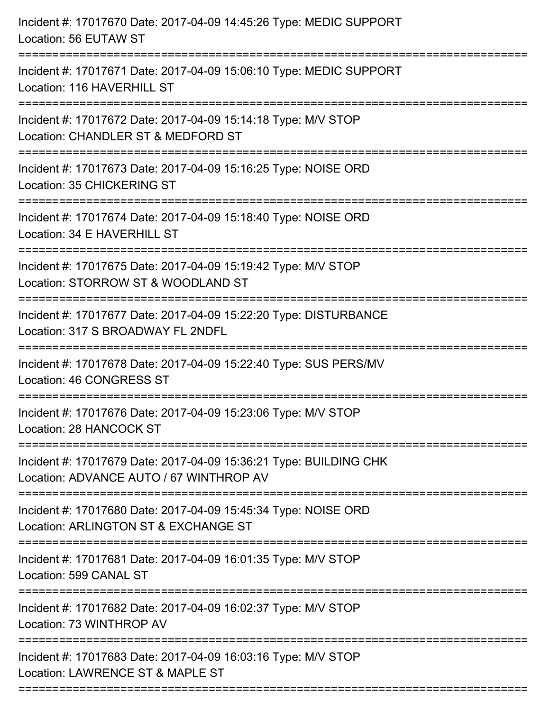| Incident #: 17017670 Date: 2017-04-09 14:45:26 Type: MEDIC SUPPORT<br>Location: 56 EUTAW ST                                             |
|-----------------------------------------------------------------------------------------------------------------------------------------|
| Incident #: 17017671 Date: 2017-04-09 15:06:10 Type: MEDIC SUPPORT<br>Location: 116 HAVERHILL ST                                        |
| Incident #: 17017672 Date: 2017-04-09 15:14:18 Type: M/V STOP<br>Location: CHANDLER ST & MEDFORD ST                                     |
| Incident #: 17017673 Date: 2017-04-09 15:16:25 Type: NOISE ORD<br>Location: 35 CHICKERING ST                                            |
| Incident #: 17017674 Date: 2017-04-09 15:18:40 Type: NOISE ORD<br>Location: 34 E HAVERHILL ST                                           |
| Incident #: 17017675 Date: 2017-04-09 15:19:42 Type: M/V STOP<br>Location: STORROW ST & WOODLAND ST<br>================================ |
| Incident #: 17017677 Date: 2017-04-09 15:22:20 Type: DISTURBANCE<br>Location: 317 S BROADWAY FL 2NDFL                                   |
| Incident #: 17017678 Date: 2017-04-09 15:22:40 Type: SUS PERS/MV<br><b>Location: 46 CONGRESS ST</b>                                     |
| Incident #: 17017676 Date: 2017-04-09 15:23:06 Type: M/V STOP<br>Location: 28 HANCOCK ST                                                |
| Incident #: 17017679 Date: 2017-04-09 15:36:21 Type: BUILDING CHK<br>Location: ADVANCE AUTO / 67 WINTHROP AV                            |
| Incident #: 17017680 Date: 2017-04-09 15:45:34 Type: NOISE ORD<br>Location: ARLINGTON ST & EXCHANGE ST                                  |
| Incident #: 17017681 Date: 2017-04-09 16:01:35 Type: M/V STOP<br>Location: 599 CANAL ST                                                 |
| Incident #: 17017682 Date: 2017-04-09 16:02:37 Type: M/V STOP<br>Location: 73 WINTHROP AV                                               |
| Incident #: 17017683 Date: 2017-04-09 16:03:16 Type: M/V STOP<br>Location: LAWRENCE ST & MAPLE ST                                       |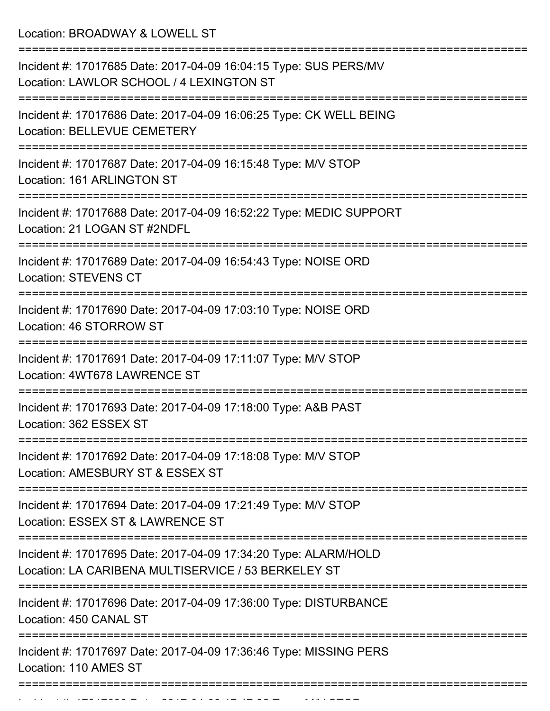Location: BROADWAY & LOWELL ST

| Incident #: 17017685 Date: 2017-04-09 16:04:15 Type: SUS PERS/MV<br>Location: LAWLOR SCHOOL / 4 LEXINGTON ST           |
|------------------------------------------------------------------------------------------------------------------------|
| Incident #: 17017686 Date: 2017-04-09 16:06:25 Type: CK WELL BEING<br>Location: BELLEVUE CEMETERY                      |
| Incident #: 17017687 Date: 2017-04-09 16:15:48 Type: M/V STOP<br>Location: 161 ARLINGTON ST                            |
| Incident #: 17017688 Date: 2017-04-09 16:52:22 Type: MEDIC SUPPORT<br>Location: 21 LOGAN ST #2NDFL                     |
| Incident #: 17017689 Date: 2017-04-09 16:54:43 Type: NOISE ORD<br><b>Location: STEVENS CT</b>                          |
| Incident #: 17017690 Date: 2017-04-09 17:03:10 Type: NOISE ORD<br>Location: 46 STORROW ST                              |
| Incident #: 17017691 Date: 2017-04-09 17:11:07 Type: M/V STOP<br>Location: 4WT678 LAWRENCE ST                          |
| Incident #: 17017693 Date: 2017-04-09 17:18:00 Type: A&B PAST<br>Location: 362 ESSEX ST                                |
| Incident #: 17017692 Date: 2017-04-09 17:18:08 Type: M/V STOP<br>Location: AMESBURY ST & ESSEX ST                      |
| Incident #: 17017694 Date: 2017-04-09 17:21:49 Type: M/V STOP<br>Location: ESSEX ST & LAWRENCE ST                      |
| Incident #: 17017695 Date: 2017-04-09 17:34:20 Type: ALARM/HOLD<br>Location: LA CARIBENA MULTISERVICE / 53 BERKELEY ST |
| Incident #: 17017696 Date: 2017-04-09 17:36:00 Type: DISTURBANCE<br>Location: 450 CANAL ST                             |
| Incident #: 17017697 Date: 2017-04-09 17:36:46 Type: MISSING PERS<br>Location: 110 AMES ST                             |
|                                                                                                                        |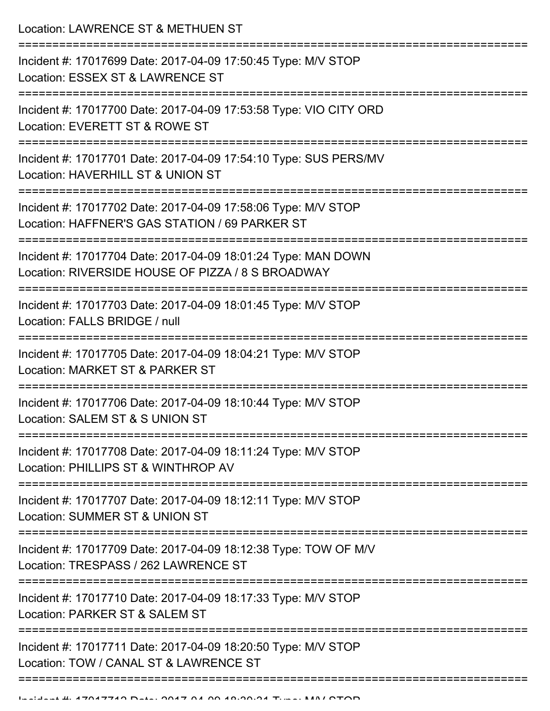Location: LAWRENCE ST & METHUEN ST

| Incident #: 17017699 Date: 2017-04-09 17:50:45 Type: M/V STOP<br>Location: ESSEX ST & LAWRENCE ST                  |
|--------------------------------------------------------------------------------------------------------------------|
| Incident #: 17017700 Date: 2017-04-09 17:53:58 Type: VIO CITY ORD<br>Location: EVERETT ST & ROWE ST                |
| Incident #: 17017701 Date: 2017-04-09 17:54:10 Type: SUS PERS/MV<br>Location: HAVERHILL ST & UNION ST              |
| Incident #: 17017702 Date: 2017-04-09 17:58:06 Type: M/V STOP<br>Location: HAFFNER'S GAS STATION / 69 PARKER ST    |
| Incident #: 17017704 Date: 2017-04-09 18:01:24 Type: MAN DOWN<br>Location: RIVERSIDE HOUSE OF PIZZA / 8 S BROADWAY |
| Incident #: 17017703 Date: 2017-04-09 18:01:45 Type: M/V STOP<br>Location: FALLS BRIDGE / null                     |
| Incident #: 17017705 Date: 2017-04-09 18:04:21 Type: M/V STOP<br>Location: MARKET ST & PARKER ST                   |
| Incident #: 17017706 Date: 2017-04-09 18:10:44 Type: M/V STOP<br>Location: SALEM ST & S UNION ST                   |
| Incident #: 17017708 Date: 2017-04-09 18:11:24 Type: M/V STOP<br>Location: PHILLIPS ST & WINTHROP AV               |
| Incident #: 17017707 Date: 2017-04-09 18:12:11 Type: M/V STOP<br>Location: SUMMER ST & UNION ST                    |
| Incident #: 17017709 Date: 2017-04-09 18:12:38 Type: TOW OF M/V<br>Location: TRESPASS / 262 LAWRENCE ST            |
| Incident #: 17017710 Date: 2017-04-09 18:17:33 Type: M/V STOP<br>Location: PARKER ST & SALEM ST                    |
| Incident #: 17017711 Date: 2017-04-09 18:20:50 Type: M/V STOP<br>Location: TOW / CANAL ST & LAWRENCE ST            |
|                                                                                                                    |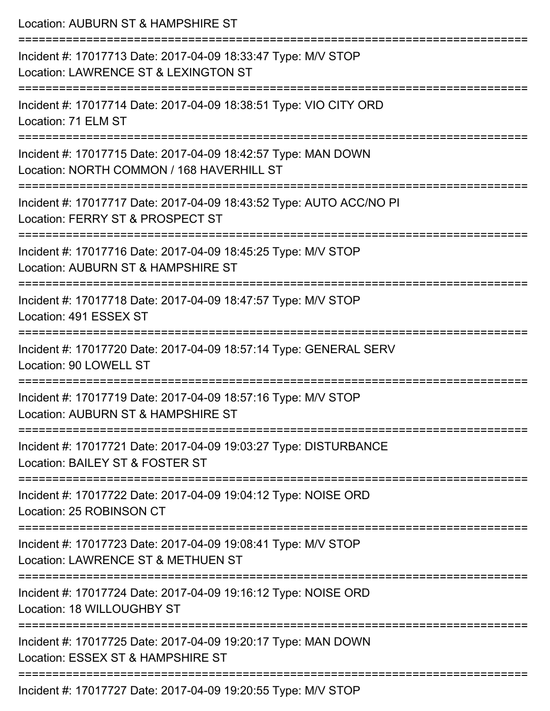| Location: AUBURN ST & HAMPSHIRE ST                                                                         |
|------------------------------------------------------------------------------------------------------------|
| Incident #: 17017713 Date: 2017-04-09 18:33:47 Type: M/V STOP<br>Location: LAWRENCE ST & LEXINGTON ST      |
| Incident #: 17017714 Date: 2017-04-09 18:38:51 Type: VIO CITY ORD<br>Location: 71 ELM ST                   |
| Incident #: 17017715 Date: 2017-04-09 18:42:57 Type: MAN DOWN<br>Location: NORTH COMMON / 168 HAVERHILL ST |
| Incident #: 17017717 Date: 2017-04-09 18:43:52 Type: AUTO ACC/NO PI<br>Location: FERRY ST & PROSPECT ST    |
| Incident #: 17017716 Date: 2017-04-09 18:45:25 Type: M/V STOP<br>Location: AUBURN ST & HAMPSHIRE ST        |
| Incident #: 17017718 Date: 2017-04-09 18:47:57 Type: M/V STOP<br>Location: 491 ESSEX ST                    |
| Incident #: 17017720 Date: 2017-04-09 18:57:14 Type: GENERAL SERV<br>Location: 90 LOWELL ST                |
| Incident #: 17017719 Date: 2017-04-09 18:57:16 Type: M/V STOP<br>Location: AUBURN ST & HAMPSHIRE ST        |
| Incident #: 17017721 Date: 2017-04-09 19:03:27 Type: DISTURBANCE<br>Location: BAILEY ST & FOSTER ST        |
| Incident #: 17017722 Date: 2017-04-09 19:04:12 Type: NOISE ORD<br>Location: 25 ROBINSON CT                 |
| Incident #: 17017723 Date: 2017-04-09 19:08:41 Type: M/V STOP<br>Location: LAWRENCE ST & METHUEN ST        |
| Incident #: 17017724 Date: 2017-04-09 19:16:12 Type: NOISE ORD<br>Location: 18 WILLOUGHBY ST               |
| Incident #: 17017725 Date: 2017-04-09 19:20:17 Type: MAN DOWN<br>Location: ESSEX ST & HAMPSHIRE ST         |
| Incident #: 17017707 Dete: 2017 04:00 10:20:55 Tupe: MALCTOD                                               |

Incident #: 17017727 Date: 2017-04-09 19:20:55 Type: M/V STOP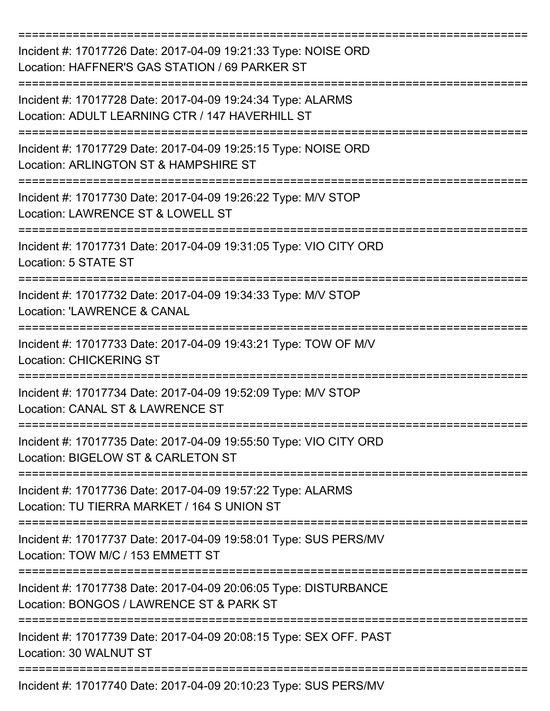| Incident #: 17017726 Date: 2017-04-09 19:21:33 Type: NOISE ORD<br>Location: HAFFNER'S GAS STATION / 69 PARKER ST |
|------------------------------------------------------------------------------------------------------------------|
| Incident #: 17017728 Date: 2017-04-09 19:24:34 Type: ALARMS<br>Location: ADULT LEARNING CTR / 147 HAVERHILL ST   |
| Incident #: 17017729 Date: 2017-04-09 19:25:15 Type: NOISE ORD<br>Location: ARLINGTON ST & HAMPSHIRE ST          |
| Incident #: 17017730 Date: 2017-04-09 19:26:22 Type: M/V STOP<br>Location: LAWRENCE ST & LOWELL ST               |
| Incident #: 17017731 Date: 2017-04-09 19:31:05 Type: VIO CITY ORD<br>Location: 5 STATE ST                        |
| Incident #: 17017732 Date: 2017-04-09 19:34:33 Type: M/V STOP<br><b>Location: 'LAWRENCE &amp; CANAL</b>          |
| Incident #: 17017733 Date: 2017-04-09 19:43:21 Type: TOW OF M/V<br><b>Location: CHICKERING ST</b>                |
| Incident #: 17017734 Date: 2017-04-09 19:52:09 Type: M/V STOP<br>Location: CANAL ST & LAWRENCE ST                |
| Incident #: 17017735 Date: 2017-04-09 19:55:50 Type: VIO CITY ORD<br>Location: BIGELOW ST & CARLETON ST          |
| Incident #: 17017736 Date: 2017-04-09 19:57:22 Type: ALARMS<br>Location: TU TIERRA MARKET / 164 S UNION ST       |
| Incident #: 17017737 Date: 2017-04-09 19:58:01 Type: SUS PERS/MV<br>Location: TOW M/C / 153 EMMETT ST            |
| Incident #: 17017738 Date: 2017-04-09 20:06:05 Type: DISTURBANCE<br>Location: BONGOS / LAWRENCE ST & PARK ST     |
| Incident #: 17017739 Date: 2017-04-09 20:08:15 Type: SEX OFF. PAST<br>Location: 30 WALNUT ST                     |
| Incident #: 17017740 Date: 2017-04-09 20:10:23 Type: SUS PERS/MV                                                 |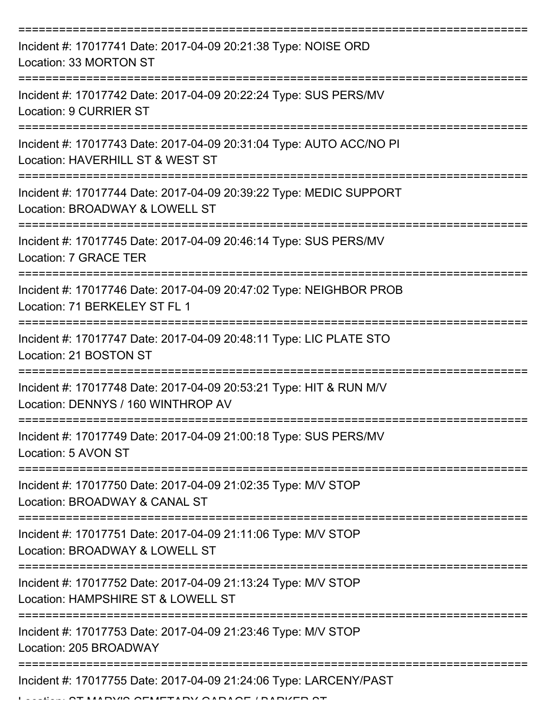| Incident #: 17017741 Date: 2017-04-09 20:21:38 Type: NOISE ORD<br>Location: 33 MORTON ST                                      |
|-------------------------------------------------------------------------------------------------------------------------------|
| Incident #: 17017742 Date: 2017-04-09 20:22:24 Type: SUS PERS/MV<br><b>Location: 9 CURRIER ST</b>                             |
| Incident #: 17017743 Date: 2017-04-09 20:31:04 Type: AUTO ACC/NO PI<br>Location: HAVERHILL ST & WEST ST                       |
| Incident #: 17017744 Date: 2017-04-09 20:39:22 Type: MEDIC SUPPORT<br>Location: BROADWAY & LOWELL ST                          |
| Incident #: 17017745 Date: 2017-04-09 20:46:14 Type: SUS PERS/MV<br>Location: 7 GRACE TER                                     |
| Incident #: 17017746 Date: 2017-04-09 20:47:02 Type: NEIGHBOR PROB<br>Location: 71 BERKELEY ST FL 1                           |
| Incident #: 17017747 Date: 2017-04-09 20:48:11 Type: LIC PLATE STO<br>Location: 21 BOSTON ST                                  |
| :================<br>Incident #: 17017748 Date: 2017-04-09 20:53:21 Type: HIT & RUN M/V<br>Location: DENNYS / 160 WINTHROP AV |
| Incident #: 17017749 Date: 2017-04-09 21:00:18 Type: SUS PERS/MV<br>Location: 5 AVON ST                                       |
| ===================<br>Incident #: 17017750 Date: 2017-04-09 21:02:35 Type: M/V STOP<br>Location: BROADWAY & CANAL ST         |
| Incident #: 17017751 Date: 2017-04-09 21:11:06 Type: M/V STOP<br>Location: BROADWAY & LOWELL ST                               |
| Incident #: 17017752 Date: 2017-04-09 21:13:24 Type: M/V STOP<br>Location: HAMPSHIRE ST & LOWELL ST                           |
| Incident #: 17017753 Date: 2017-04-09 21:23:46 Type: M/V STOP<br>Location: 205 BROADWAY                                       |
| Incident #: 17017755 Date: 2017-04-09 21:24:06 Type: LARCENY/PAST<br>ADVIO OF AFTADY OADA OF IDADIZED OT                      |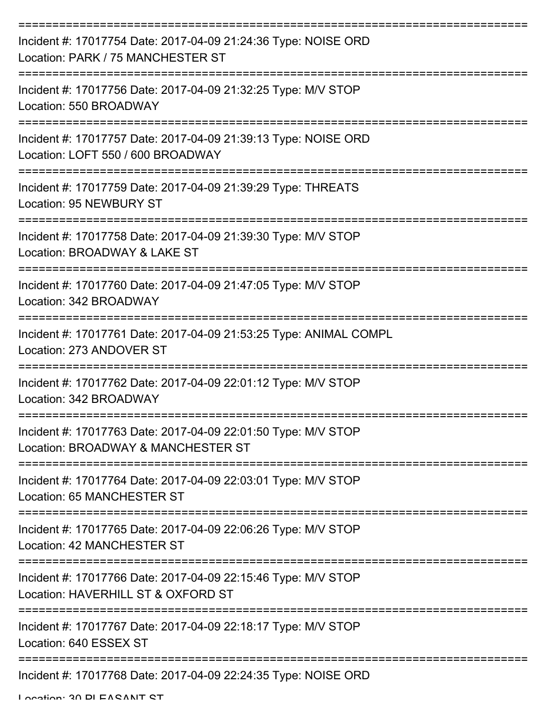| Incident #: 17017754 Date: 2017-04-09 21:24:36 Type: NOISE ORD<br>Location: PARK / 75 MANCHESTER ST |
|-----------------------------------------------------------------------------------------------------|
| Incident #: 17017756 Date: 2017-04-09 21:32:25 Type: M/V STOP<br>Location: 550 BROADWAY             |
| Incident #: 17017757 Date: 2017-04-09 21:39:13 Type: NOISE ORD<br>Location: LOFT 550 / 600 BROADWAY |
| Incident #: 17017759 Date: 2017-04-09 21:39:29 Type: THREATS<br>Location: 95 NEWBURY ST             |
| Incident #: 17017758 Date: 2017-04-09 21:39:30 Type: M/V STOP<br>Location: BROADWAY & LAKE ST       |
| Incident #: 17017760 Date: 2017-04-09 21:47:05 Type: M/V STOP<br>Location: 342 BROADWAY             |
| Incident #: 17017761 Date: 2017-04-09 21:53:25 Type: ANIMAL COMPL<br>Location: 273 ANDOVER ST       |
| Incident #: 17017762 Date: 2017-04-09 22:01:12 Type: M/V STOP<br>Location: 342 BROADWAY             |
| Incident #: 17017763 Date: 2017-04-09 22:01:50 Type: M/V STOP<br>Location: BROADWAY & MANCHESTER ST |
| Incident #: 17017764 Date: 2017-04-09 22:03:01 Type: M/V STOP<br>Location: 65 MANCHESTER ST         |
| Incident #: 17017765 Date: 2017-04-09 22:06:26 Type: M/V STOP<br><b>Location: 42 MANCHESTER ST</b>  |
| Incident #: 17017766 Date: 2017-04-09 22:15:46 Type: M/V STOP<br>Location: HAVERHILL ST & OXFORD ST |
| Incident #: 17017767 Date: 2017-04-09 22:18:17 Type: M/V STOP<br>Location: 640 ESSEX ST             |
| Incident #: 17017768 Date: 2017-04-09 22:24:35 Type: NOISE ORD                                      |

Location: 30 PLEASANT ST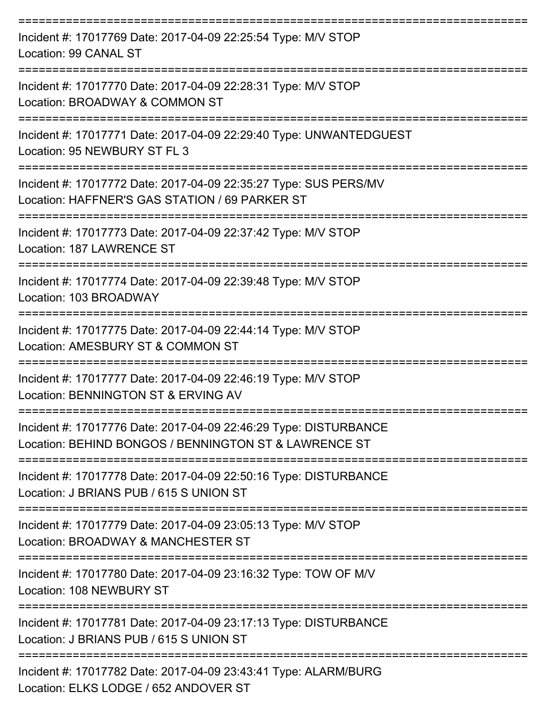| Incident #: 17017769 Date: 2017-04-09 22:25:54 Type: M/V STOP<br>Location: 99 CANAL ST                                    |
|---------------------------------------------------------------------------------------------------------------------------|
| Incident #: 17017770 Date: 2017-04-09 22:28:31 Type: M/V STOP<br>Location: BROADWAY & COMMON ST                           |
| Incident #: 17017771 Date: 2017-04-09 22:29:40 Type: UNWANTEDGUEST<br>Location: 95 NEWBURY ST FL 3                        |
| Incident #: 17017772 Date: 2017-04-09 22:35:27 Type: SUS PERS/MV<br>Location: HAFFNER'S GAS STATION / 69 PARKER ST        |
| Incident #: 17017773 Date: 2017-04-09 22:37:42 Type: M/V STOP<br>Location: 187 LAWRENCE ST                                |
| Incident #: 17017774 Date: 2017-04-09 22:39:48 Type: M/V STOP<br>Location: 103 BROADWAY                                   |
| Incident #: 17017775 Date: 2017-04-09 22:44:14 Type: M/V STOP<br>Location: AMESBURY ST & COMMON ST                        |
| Incident #: 17017777 Date: 2017-04-09 22:46:19 Type: M/V STOP<br>Location: BENNINGTON ST & ERVING AV                      |
| Incident #: 17017776 Date: 2017-04-09 22:46:29 Type: DISTURBANCE<br>Location: BEHIND BONGOS / BENNINGTON ST & LAWRENCE ST |
| Incident #: 17017778 Date: 2017-04-09 22:50:16 Type: DISTURBANCE<br>Location: J BRIANS PUB / 615 S UNION ST               |
| Incident #: 17017779 Date: 2017-04-09 23:05:13 Type: M/V STOP<br>Location: BROADWAY & MANCHESTER ST                       |
| Incident #: 17017780 Date: 2017-04-09 23:16:32 Type: TOW OF M/V<br>Location: 108 NEWBURY ST                               |
| Incident #: 17017781 Date: 2017-04-09 23:17:13 Type: DISTURBANCE<br>Location: J BRIANS PUB / 615 S UNION ST               |
| Incident #: 17017782 Date: 2017-04-09 23:43:41 Type: ALARM/BURG<br>Location: ELKS LODGE / 652 ANDOVER ST                  |